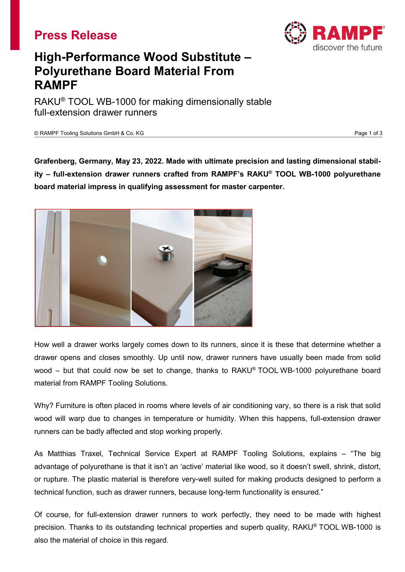



## **High-Performance Wood Substitute – Polyurethane Board Material From RAMPF**

RAKU® TOOL WB-1000 for making dimensionally stable full-extension drawer runners

© RAMPF Tooling Solutions GmbH & Co. KG Page 1 of 3

**Grafenberg, Germany, May 23, 2022. Made with ultimate precision and lasting dimensional stability – full-extension drawer runners crafted from RAMPF's RAKU® TOOL WB-1000 polyurethane board material impress in qualifying assessment for master carpenter.**



How well a drawer works largely comes down to its runners, since it is these that determine whether a drawer opens and closes smoothly. Up until now, drawer runners have usually been made from solid wood – but that could now be set to change, thanks to RAKU® TOOL WB-1000 polyurethane board material from RAMPF Tooling Solutions.

Why? Furniture is often placed in rooms where levels of air conditioning vary, so there is a risk that solid wood will warp due to changes in temperature or humidity. When this happens, full-extension drawer runners can be badly affected and stop working properly.

As Matthias Traxel, Technical Service Expert at RAMPF Tooling Solutions, explains – "The big advantage of polyurethane is that it isn't an 'active' material like wood, so it doesn't swell, shrink, distort, or rupture. The plastic material is therefore very-well suited for making products designed to perform a technical function, such as drawer runners, because long-term functionality is ensured."

Of course, for full-extension drawer runners to work perfectly, they need to be made with highest precision. Thanks to its outstanding technical properties and superb quality, RAKU® TOOL WB-1000 is also the material of choice in this regard.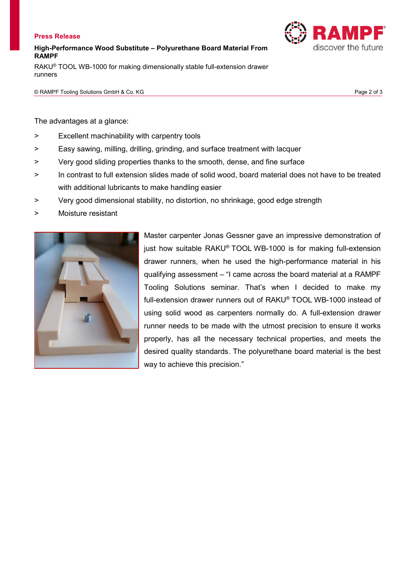## **Press Release**

**High-Performance Wood Substitute – Polyurethane Board Material From RAMPF**

RAKU® TOOL WB-1000 for making dimensionally stable full-extension drawer runners

© RAMPF Tooling Solutions GmbH & Co. KG Page 2 of 3

discover the future

The advantages at a glance:

- > Excellent machinability with carpentry tools
- > Easy sawing, milling, drilling, grinding, and surface treatment with lacquer
- > Very good sliding properties thanks to the smooth, dense, and fine surface
- > In contrast to full extension slides made of solid wood, board material does not have to be treated with additional lubricants to make handling easier
- > Very good dimensional stability, no distortion, no shrinkage, good edge strength
- > Moisture resistant



Master carpenter Jonas Gessner gave an impressive demonstration of just how suitable RAKU® TOOL WB-1000 is for making full-extension drawer runners, when he used the high-performance material in his qualifying assessment – "I came across the board material at a RAMPF Tooling Solutions seminar. That's when I decided to make my full-extension drawer runners out of RAKU® TOOL WB-1000 instead of using solid wood as carpenters normally do. A full-extension drawer runner needs to be made with the utmost precision to ensure it works properly, has all the necessary technical properties, and meets the desired quality standards. The polyurethane board material is the best way to achieve this precision."